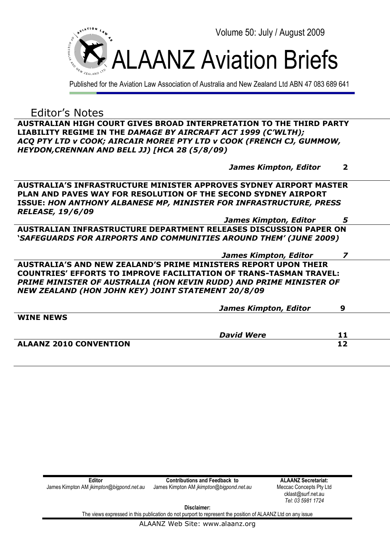

Published for the Aviation Law Association of Australia and New Zealand Ltd ABN 47 083 689 641

Editor's Notes

**AUSTRALIAN HIGH COURT GIVES BROAD INTERPRETATION TO THE THIRD PARTY LIABILITY REGIME IN THE** *DAMAGE BY AIRCRAFT ACT 1999 (C'WLTH); ACQ PTY LTD v COOK; AIRCAIR MOREE PTY LTD v COOK (FRENCH CJ, GUMMOW, HEYDON,CRENNAN AND BELL JJ) [HCA 28 (5/8/09)*

|                                                                           | <b>James Kimpton, Editor</b> | $\mathbf 2$ |
|---------------------------------------------------------------------------|------------------------------|-------------|
| <b>AUSTRALIA'S INFRASTRUCTURE MINISTER APPROVES SYDNEY AIRPORT MASTER</b> |                              |             |
| PLAN AND PAVES WAY FOR RESOLUTION OF THE SECOND SYDNEY AIRPORT            |                              |             |
| <b>ISSUE: HON ANTHONY ALBANESE MP, MINISTER FOR INFRASTRUCTURE, PRESS</b> |                              |             |
| <b>RELEASE, 19/6/09</b>                                                   |                              |             |
|                                                                           | <b>James Kimpton, Editor</b> | 5           |
| AUSTRALIAN INFRASTRUCTURE DEPARTMENT RELEASES DISCUSSION PAPER ON         |                              |             |
| <b>`SAFEGUARDS FOR AIRPORTS AND COMMUNITIES AROUND THEM' (JUNE 2009)</b>  |                              |             |

 *James Kimpton, Editor 7*  **AUSTRALIA'S AND NEW ZEALAND'S PRIME MINISTERS REPORT UPON THEIR COUNTRIES' EFFORTS TO IMPROVE FACILITATION OF TRANS-TASMAN TRAVEL: PRIME MINISTER OF AUSTRALIA (HON KEVIN RUDD) AND PRIME MINISTER OF** *NEW ZEALAND (HON JOHN KEY) JOINT STATEMENT 20/8/09*

|                               | <b>James Kimpton, Editor</b> | Q  |  |
|-------------------------------|------------------------------|----|--|
| <b>WINE NEWS</b>              |                              |    |  |
|                               |                              |    |  |
|                               | <b>David Were</b>            | 11 |  |
| <b>ALAANZ 2010 CONVENTION</b> |                              | 12 |  |
|                               |                              |    |  |

| Editor                                          | <b>Contributions and Feedback to</b>            | <b>ALAANZ Secretariat:</b> |
|-------------------------------------------------|-------------------------------------------------|----------------------------|
| James Kimpton AM <i>jkimpton@biqpond.net.au</i> | James Kimpton AM <i>jkimpton@bigpond.net.au</i> | Meccac Concepts Pty Ltd    |
|                                                 |                                                 | cklast@surf.net.au         |
|                                                 |                                                 | Tel: 03 5981 1724          |

**Disclaimer:**

The views expressed in this publication do not purport to represent the position of ALAANZ Ltd on any issue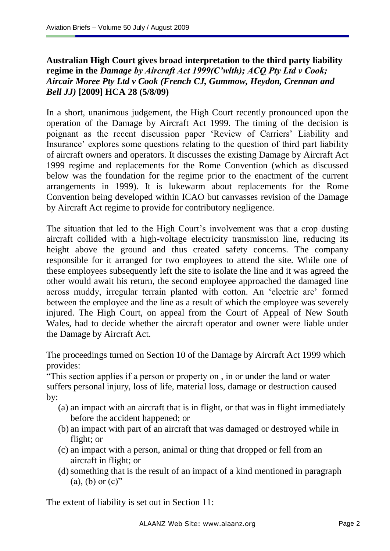# **Australian High Court gives broad interpretation to the third party liability regime in the** *Damage by Aircraft Act 1999(C'wlth); ACQ Pty Ltd v Cook; Aircair Moree Pty Ltd v Cook (French CJ, Gummow, Heydon, Crennan and Bell JJ)* **[2009] HCA 28 (5/8/09)**

In a short, unanimous judgement, the High Court recently pronounced upon the operation of the Damage by Aircraft Act 1999. The timing of the decision is poignant as the recent discussion paper "Review of Carriers" Liability and Insurance" explores some questions relating to the question of third part liability of aircraft owners and operators. It discusses the existing Damage by Aircraft Act 1999 regime and replacements for the Rome Convention (which as discussed below was the foundation for the regime prior to the enactment of the current arrangements in 1999). It is lukewarm about replacements for the Rome Convention being developed within ICAO but canvasses revision of the Damage by Aircraft Act regime to provide for contributory negligence.

The situation that led to the High Court's involvement was that a crop dusting aircraft collided with a high-voltage electricity transmission line, reducing its height above the ground and thus created safety concerns. The company responsible for it arranged for two employees to attend the site. While one of these employees subsequently left the site to isolate the line and it was agreed the other would await his return, the second employee approached the damaged line across muddy, irregular terrain planted with cotton. An "electric arc" formed between the employee and the line as a result of which the employee was severely injured. The High Court, on appeal from the Court of Appeal of New South Wales, had to decide whether the aircraft operator and owner were liable under the Damage by Aircraft Act.

The proceedings turned on Section 10 of the Damage by Aircraft Act 1999 which provides:

"This section applies if a person or property on , in or under the land or water suffers personal injury, loss of life, material loss, damage or destruction caused by:

- (a) an impact with an aircraft that is in flight, or that was in flight immediately before the accident happened; or
- (b) an impact with part of an aircraft that was damaged or destroyed while in flight; or
- (c) an impact with a person, animal or thing that dropped or fell from an aircraft in flight; or
- (d)something that is the result of an impact of a kind mentioned in paragraph  $(a)$ ,  $(b)$  or  $(c)$ "

The extent of liability is set out in Section 11: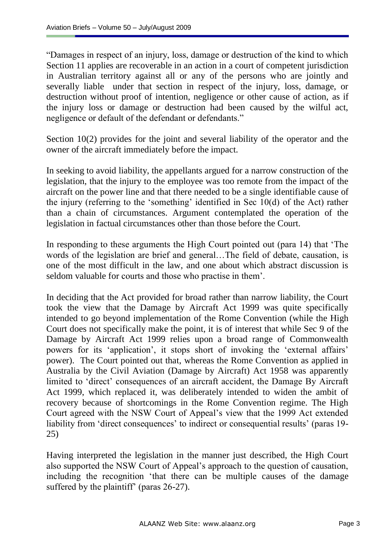"Damages in respect of an injury, loss, damage or destruction of the kind to which Section 11 applies are recoverable in an action in a court of competent jurisdiction in Australian territory against all or any of the persons who are jointly and severally liable under that section in respect of the injury, loss, damage, or destruction without proof of intention, negligence or other cause of action, as if the injury loss or damage or destruction had been caused by the wilful act, negligence or default of the defendant or defendants."

Section 10(2) provides for the joint and several liability of the operator and the owner of the aircraft immediately before the impact.

In seeking to avoid liability, the appellants argued for a narrow construction of the legislation, that the injury to the employee was too remote from the impact of the aircraft on the power line and that there needed to be a single identifiable cause of the injury (referring to the 'something' identified in Sec  $10(d)$  of the Act) rather than a chain of circumstances. Argument contemplated the operation of the legislation in factual circumstances other than those before the Court.

In responding to these arguments the High Court pointed out (para 14) that "The words of the legislation are brief and general…The field of debate, causation, is one of the most difficult in the law, and one about which abstract discussion is seldom valuable for courts and those who practise in them".

In deciding that the Act provided for broad rather than narrow liability, the Court took the view that the Damage by Aircraft Act 1999 was quite specifically intended to go beyond implementation of the Rome Convention (while the High Court does not specifically make the point, it is of interest that while Sec 9 of the Damage by Aircraft Act 1999 relies upon a broad range of Commonwealth powers for its 'application', it stops short of invoking the 'external affairs' power). The Court pointed out that, whereas the Rome Convention as applied in Australia by the Civil Aviation (Damage by Aircraft) Act 1958 was apparently limited to "direct" consequences of an aircraft accident, the Damage By Aircraft Act 1999, which replaced it, was deliberately intended to widen the ambit of recovery because of shortcomings in the Rome Convention regime. The High Court agreed with the NSW Court of Appeal"s view that the 1999 Act extended liability from 'direct consequences' to indirect or consequential results' (paras 19-25)

Having interpreted the legislation in the manner just described, the High Court also supported the NSW Court of Appeal"s approach to the question of causation, including the recognition "that there can be multiple causes of the damage suffered by the plaintiff' (paras 26-27).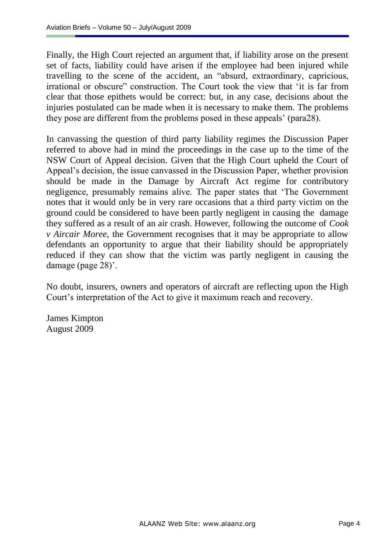Finally, the High Court rejected an argument that, if liability arose on the present set of facts, liability could have arisen if the employee had been injured while travelling to the scene of the accident, an "absurd, extraordinary, capricious, irrational or obscure" construction. The Court took the view that "it is far from clear that those epithets would be correct: but, in any case, decisions about the injuries postulated can be made when it is necessary to make them. The problems they pose are different from the problems posed in these appeals" (para28).

In canvassing the question of third party liability regimes the Discussion Paper referred to above had in mind the proceedings in the case up to the time of the NSW Court of Appeal decision. Given that the High Court upheld the Court of Appeal"s decision, the issue canvassed in the Discussion Paper, whether provision should be made in the Damage by Aircraft Act regime for contributory negligence, presumably remains alive. The paper states that "The Government notes that it would only be in very rare occasions that a third party victim on the ground could be considered to have been partly negligent in causing the damage they suffered as a result of an air crash. However, following the outcome of *Cook v Aircair Moree,* the Government recognises that it may be appropriate to allow defendants an opportunity to argue that their liability should be appropriately reduced if they can show that the victim was partly negligent in causing the damage (page 28)'.

No doubt, insurers, owners and operators of aircraft are reflecting upon the High Court's interpretation of the Act to give it maximum reach and recovery.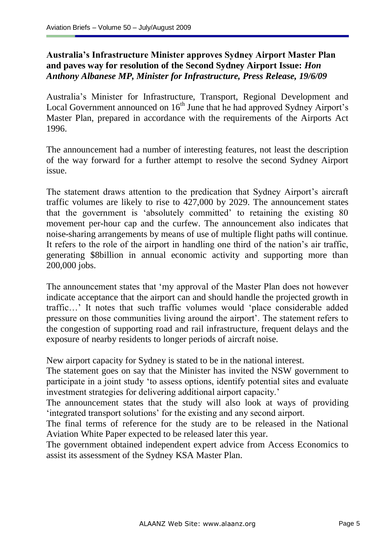### **Australia's Infrastructure Minister approves Sydney Airport Master Plan and paves way for resolution of the Second Sydney Airport Issue:** *Hon Anthony Albanese MP, Minister for Infrastructure, Press Release, 19/6/09*

Australia"s Minister for Infrastructure, Transport, Regional Development and Local Government announced on 16<sup>th</sup> June that he had approved Sydney Airport's Master Plan, prepared in accordance with the requirements of the Airports Act 1996.

The announcement had a number of interesting features, not least the description of the way forward for a further attempt to resolve the second Sydney Airport issue.

The statement draws attention to the predication that Sydney Airport's aircraft traffic volumes are likely to rise to 427,000 by 2029. The announcement states that the government is "absolutely committed" to retaining the existing 80 movement per-hour cap and the curfew. The announcement also indicates that noise-sharing arrangements by means of use of multiple flight paths will continue. It refers to the role of the airport in handling one third of the nation's air traffic, generating \$8billion in annual economic activity and supporting more than 200,000 jobs.

The announcement states that "my approval of the Master Plan does not however indicate acceptance that the airport can and should handle the projected growth in traffic…" It notes that such traffic volumes would "place considerable added pressure on those communities living around the airport". The statement refers to the congestion of supporting road and rail infrastructure, frequent delays and the exposure of nearby residents to longer periods of aircraft noise.

New airport capacity for Sydney is stated to be in the national interest.

The statement goes on say that the Minister has invited the NSW government to participate in a joint study "to assess options, identify potential sites and evaluate investment strategies for delivering additional airport capacity."

The announcement states that the study will also look at ways of providing "integrated transport solutions" for the existing and any second airport.

The final terms of reference for the study are to be released in the National Aviation White Paper expected to be released later this year.

The government obtained independent expert advice from Access Economics to assist its assessment of the Sydney KSA Master Plan.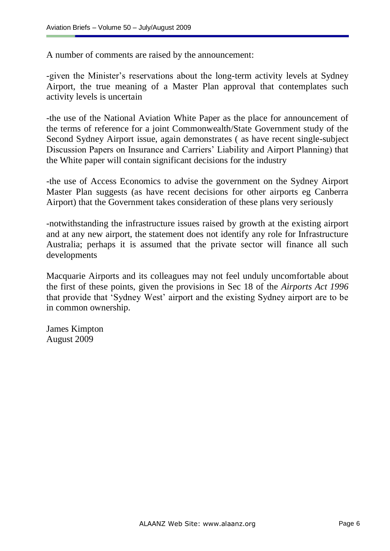A number of comments are raised by the announcement:

-given the Minister's reservations about the long-term activity levels at Sydney Airport, the true meaning of a Master Plan approval that contemplates such activity levels is uncertain

-the use of the National Aviation White Paper as the place for announcement of the terms of reference for a joint Commonwealth/State Government study of the Second Sydney Airport issue, again demonstrates ( as have recent single-subject Discussion Papers on Insurance and Carriers" Liability and Airport Planning) that the White paper will contain significant decisions for the industry

-the use of Access Economics to advise the government on the Sydney Airport Master Plan suggests (as have recent decisions for other airports eg Canberra Airport) that the Government takes consideration of these plans very seriously

-notwithstanding the infrastructure issues raised by growth at the existing airport and at any new airport, the statement does not identify any role for Infrastructure Australia; perhaps it is assumed that the private sector will finance all such developments

Macquarie Airports and its colleagues may not feel unduly uncomfortable about the first of these points, given the provisions in Sec 18 of the *Airports Act 1996* that provide that "Sydney West" airport and the existing Sydney airport are to be in common ownership.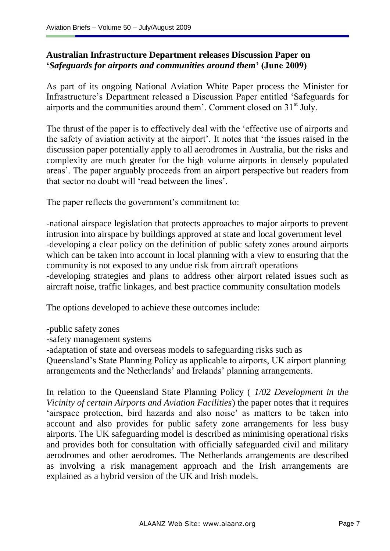# **Australian Infrastructure Department releases Discussion Paper on '***Safeguards for airports and communities around them***' (June 2009)**

As part of its ongoing National Aviation White Paper process the Minister for Infrastructure"s Department released a Discussion Paper entitled "Safeguards for airports and the communities around them'. Comment closed on 31<sup>st</sup> July.

The thrust of the paper is to effectively deal with the "effective use of airports and the safety of aviation activity at the airport". It notes that "the issues raised in the discussion paper potentially apply to all aerodromes in Australia, but the risks and complexity are much greater for the high volume airports in densely populated areas". The paper arguably proceeds from an airport perspective but readers from that sector no doubt will "read between the lines".

The paper reflects the government's commitment to:

-national airspace legislation that protects approaches to major airports to prevent intrusion into airspace by buildings approved at state and local government level -developing a clear policy on the definition of public safety zones around airports which can be taken into account in local planning with a view to ensuring that the community is not exposed to any undue risk from aircraft operations -developing strategies and plans to address other airport related issues such as aircraft noise, traffic linkages, and best practice community consultation models

The options developed to achieve these outcomes include:

-public safety zones

-safety management systems

-adaptation of state and overseas models to safeguarding risks such as Queensland"s State Planning Policy as applicable to airports, UK airport planning arrangements and the Netherlands" and Irelands" planning arrangements.

In relation to the Queensland State Planning Policy ( *1/02 Development in the Vicinity of certain Airports and Aviation Facilities*) the paper notes that it requires 'airspace protection, bird hazards and also noise' as matters to be taken into account and also provides for public safety zone arrangements for less busy airports. The UK safeguarding model is described as minimising operational risks and provides both for consultation with officially safeguarded civil and military aerodromes and other aerodromes. The Netherlands arrangements are described as involving a risk management approach and the Irish arrangements are explained as a hybrid version of the UK and Irish models.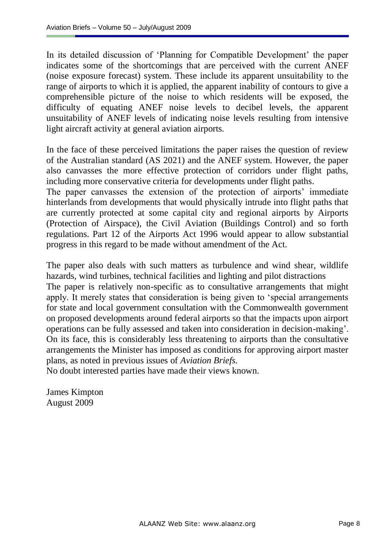In its detailed discussion of 'Planning for Compatible Development' the paper indicates some of the shortcomings that are perceived with the current ANEF (noise exposure forecast) system. These include its apparent unsuitability to the range of airports to which it is applied, the apparent inability of contours to give a comprehensible picture of the noise to which residents will be exposed, the difficulty of equating ANEF noise levels to decibel levels, the apparent unsuitability of ANEF levels of indicating noise levels resulting from intensive light aircraft activity at general aviation airports.

In the face of these perceived limitations the paper raises the question of review of the Australian standard (AS 2021) and the ANEF system. However, the paper also canvasses the more effective protection of corridors under flight paths, including more conservative criteria for developments under flight paths.

The paper canvasses the extension of the protection of airports' immediate hinterlands from developments that would physically intrude into flight paths that are currently protected at some capital city and regional airports by Airports (Protection of Airspace), the Civil Aviation (Buildings Control) and so forth regulations. Part 12 of the Airports Act 1996 would appear to allow substantial progress in this regard to be made without amendment of the Act.

The paper also deals with such matters as turbulence and wind shear, wildlife hazards, wind turbines, technical facilities and lighting and pilot distractions The paper is relatively non-specific as to consultative arrangements that might apply. It merely states that consideration is being given to "special arrangements for state and local government consultation with the Commonwealth government on proposed developments around federal airports so that the impacts upon airport operations can be fully assessed and taken into consideration in decision-making". On its face, this is considerably less threatening to airports than the consultative arrangements the Minister has imposed as conditions for approving airport master plans, as noted in previous issues of *Aviation Briefs.* No doubt interested parties have made their views known.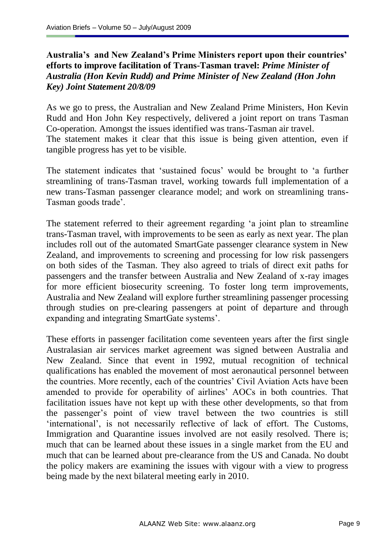### **Australia's and New Zealand's Prime Ministers report upon their countries' efforts to improve facilitation of Trans-Tasman travel:** *Prime Minister of Australia (Hon Kevin Rudd) and Prime Minister of New Zealand (Hon John Key) Joint Statement 20/8/09*

As we go to press, the Australian and New Zealand Prime Ministers, Hon Kevin Rudd and Hon John Key respectively, delivered a joint report on trans Tasman Co-operation. Amongst the issues identified was trans-Tasman air travel. The statement makes it clear that this issue is being given attention, even if tangible progress has yet to be visible.

The statement indicates that 'sustained focus' would be brought to 'a further streamlining of trans-Tasman travel, working towards full implementation of a new trans-Tasman passenger clearance model; and work on streamlining trans-Tasman goods trade".

The statement referred to their agreement regarding "a joint plan to streamline trans-Tasman travel, with improvements to be seen as early as next year. The plan includes roll out of the automated SmartGate passenger clearance system in New Zealand, and improvements to screening and processing for low risk passengers on both sides of the Tasman. They also agreed to trials of direct exit paths for passengers and the transfer between Australia and New Zealand of x-ray images for more efficient biosecurity screening. To foster long term improvements, Australia and New Zealand will explore further streamlining passenger processing through studies on pre-clearing passengers at point of departure and through expanding and integrating SmartGate systems".

These efforts in passenger facilitation come seventeen years after the first single Australasian air services market agreement was signed between Australia and New Zealand. Since that event in 1992, mutual recognition of technical qualifications has enabled the movement of most aeronautical personnel between the countries. More recently, each of the countries' Civil Aviation Acts have been amended to provide for operability of airlines" AOCs in both countries. That facilitation issues have not kept up with these other developments, so that from the passenger"s point of view travel between the two countries is still 'international', is not necessarily reflective of lack of effort. The Customs, Immigration and Quarantine issues involved are not easily resolved. There is; much that can be learned about these issues in a single market from the EU and much that can be learned about pre-clearance from the US and Canada. No doubt the policy makers are examining the issues with vigour with a view to progress being made by the next bilateral meeting early in 2010.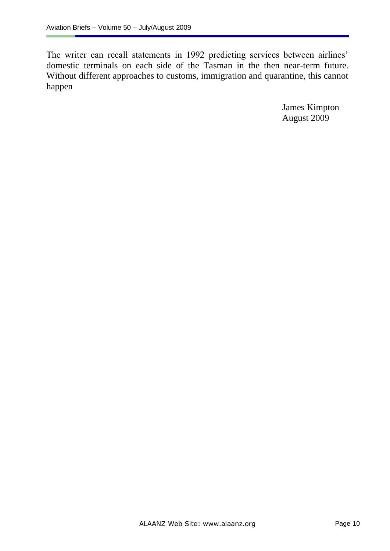The writer can recall statements in 1992 predicting services between airlines' domestic terminals on each side of the Tasman in the then near-term future. Without different approaches to customs, immigration and quarantine, this cannot happen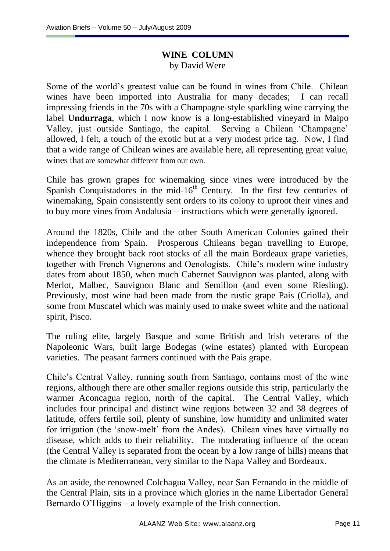#### **WINE COLUMN** by David Were

Some of the world"s greatest value can be found in wines from Chile. Chilean wines have been imported into Australia for many decades; I can recall impressing friends in the 70s with a Champagne-style sparkling wine carrying the label **Undurraga**, which I now know is a long-established vineyard in Maipo Valley, just outside Santiago, the capital. Serving a Chilean "Champagne" allowed, I felt, a touch of the exotic but at a very modest price tag. Now, I find that a wide range of Chilean wines are available here, all representing great value, wines that are somewhat different from our own.

Chile has grown grapes for winemaking since vines were introduced by the Spanish Conquistadores in the mid-16<sup>th</sup> Century. In the first few centuries of winemaking, Spain consistently sent orders to its colony to uproot their vines and to buy more vines from Andalusia – instructions which were generally ignored.

Around the 1820s, Chile and the other South American Colonies gained their independence from Spain. Prosperous Chileans began travelling to Europe, whence they brought back root stocks of all the main Bordeaux grape varieties, together with French Vignerons and Oenologists. Chile"s modern wine industry dates from about 1850, when much Cabernet Sauvignon was planted, along with Merlot, Malbec, Sauvignon Blanc and Semillon (and even some Riesling). Previously, most wine had been made from the rustic grape Pais (Criolla), and some from Muscatel which was mainly used to make sweet white and the national spirit, Pisco.

The ruling elite, largely Basque and some British and Irish veterans of the Napoleonic Wars, built large Bodegas (wine estates) planted with European varieties. The peasant farmers continued with the Pais grape.

Chile"s Central Valley, running south from Santiago, contains most of the wine regions, although there are other smaller regions outside this strip, particularly the warmer Aconcagua region, north of the capital. The Central Valley, which includes four principal and distinct wine regions between 32 and 38 degrees of latitude, offers fertile soil, plenty of sunshine, low humidity and unlimited water for irrigation (the "snow-melt" from the Andes). Chilean vines have virtually no disease, which adds to their reliability. The moderating influence of the ocean (the Central Valley is separated from the ocean by a low range of hills) means that the climate is Mediterranean, very similar to the Napa Valley and Bordeaux.

As an aside, the renowned Colchagua Valley, near San Fernando in the middle of the Central Plain, sits in a province which glories in the name Libertador General Bernardo O"Higgins – a lovely example of the Irish connection.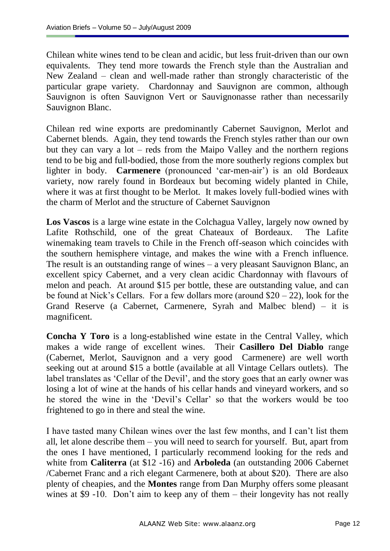Chilean white wines tend to be clean and acidic, but less fruit-driven than our own equivalents. They tend more towards the French style than the Australian and New Zealand – clean and well-made rather than strongly characteristic of the particular grape variety. Chardonnay and Sauvignon are common, although Sauvignon is often Sauvignon Vert or Sauvignonasse rather than necessarily Sauvignon Blanc.

Chilean red wine exports are predominantly Cabernet Sauvignon, Merlot and Cabernet blends. Again, they tend towards the French styles rather than our own but they can vary a lot – reds from the Maipo Valley and the northern regions tend to be big and full-bodied, those from the more southerly regions complex but lighter in body. **Carmenere** (pronounced "car-men-air") is an old Bordeaux variety, now rarely found in Bordeaux but becoming widely planted in Chile, where it was at first thought to be Merlot. It makes lovely full-bodied wines with the charm of Merlot and the structure of Cabernet Sauvignon

**Los Vascos** is a large wine estate in the Colchagua Valley, largely now owned by Lafite Rothschild, one of the great Chateaux of Bordeaux. The Lafite winemaking team travels to Chile in the French off-season which coincides with the southern hemisphere vintage, and makes the wine with a French influence. The result is an outstanding range of wines – a very pleasant Sauvignon Blanc, an excellent spicy Cabernet, and a very clean acidic Chardonnay with flavours of melon and peach. At around \$15 per bottle, these are outstanding value, and can be found at Nick's Cellars. For a few dollars more (around  $$20 - 22$ ), look for the Grand Reserve (a Cabernet, Carmenere, Syrah and Malbec blend) – it is magnificent.

**Concha Y Toro** is a long-established wine estate in the Central Valley, which makes a wide range of excellent wines. Their **Casillero Del Diablo** range (Cabernet, Merlot, Sauvignon and a very good Carmenere) are well worth seeking out at around \$15 a bottle (available at all Vintage Cellars outlets). The label translates as 'Cellar of the Devil', and the story goes that an early owner was losing a lot of wine at the hands of his cellar hands and vineyard workers, and so he stored the wine in the "Devil"s Cellar" so that the workers would be too frightened to go in there and steal the wine.

I have tasted many Chilean wines over the last few months, and I can"t list them all, let alone describe them – you will need to search for yourself. But, apart from the ones I have mentioned, I particularly recommend looking for the reds and white from **Caliterra** (at \$12 -16) and **Arboleda** (an outstanding 2006 Cabernet /Cabernet Franc and a rich elegant Carmenere, both at about \$20). There are also plenty of cheapies, and the **Montes** range from Dan Murphy offers some pleasant wines at \$9 -10. Don't aim to keep any of them – their longevity has not really